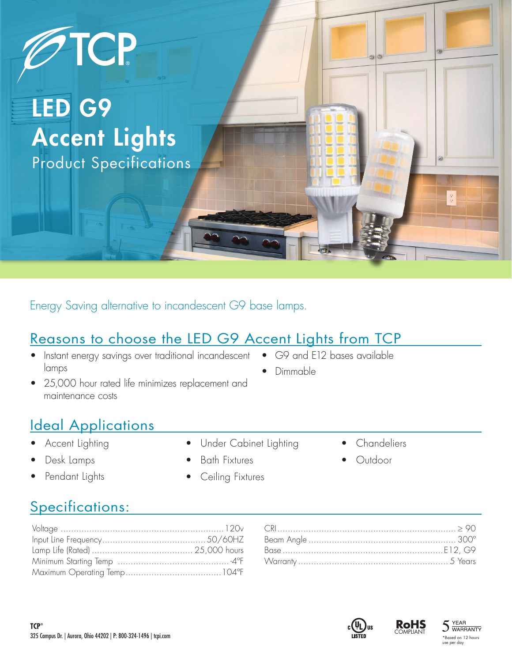

Energy Saving alternative to incandescent G9 base lamps.

## Reasons to choose the LED G9 Accent Lights from TCP

- Instant energy savings over traditional incandescent lamps
- 25,000 hour rated life minimizes replacement and maintenance costs
- **Ideal Applications**
- Accent Lighting
- Desk Lamps
- Pendant Lights
- Under Cabinet Lighting
- Bath Fixtures
- Ceiling Fixtures

## Specifications:

• Chandeliers

• Outdoor

• G9 and E12 bases available

• Dimmable